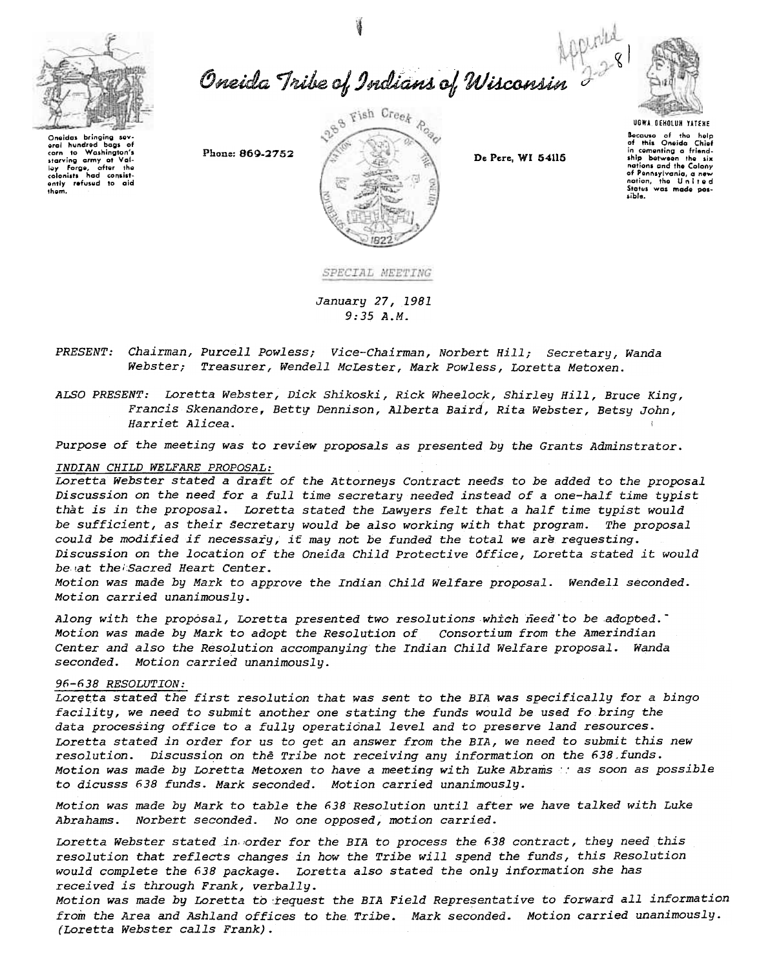

Oneida Tribe of Indians of Wisconsin 2281



Oneidas bringing sev Oneidas bringing sev-<br>eran to Washington's<br>starving army at Val-<br>ley Forge, after the<br>colonists had consistently refused to aid thom.

Phone: 869-2752



De Pere, WI 54115

**UGWA DEHOLUN YATEHE** Bocauso of the help<br>of this Oneida Chief<br>in comenting a friend-<br>ship between the six<br>notions and the Colony of Pennsylvania, a new sible.

SPECIAL MEETING

January 27, 1981  $9:35A.M.$ 

*PRESENT:* Chairman, Purcell Powless; Vice-Chairman, Norbert Hill; Secretary, Wanda Webster; Treasurer, Wendell McLester, Mark Powless, Loretta Metoxen.

ALSO PRESENT: Loretta Webster, Dick Shikoski, Rick Wheelock, Shirley Hill, Bruce King, Francis Skenandore, Betty Dennison, Alberta Baird, Rita Webster, Betsy John, Harriet Alicea.

Purpose of the meeting was to review proposals as presented by the Grants Adminstrator.

# INDIAN CHILD WELFARE PROPOSAL:

Loretta Webster stated a draft of the Attorneys Contract needs to be added to the proposal Discussion on the need for a full time secretary needed instead of a one-half time typist that is in the proposal. Loretta stated the Lawyers felt that a half time typist would be sufficient, as their secretary would be also working with that program. The proposal could be modified if necessary, it may not be funded the total we are requesting. Discussion on the location of the Oneida Child Protective Office, Loretta stated it would be at the Sacred Heart Center.

Motion was made by Mark to approve the Indian Child Welfare proposal. Wendell seconded. Motion carried unanimously.

Along with the proposal, Loretta presented two resolutions which need to be adopted. Motion was made by Mark to adopt the Resolution of consortium from the Amerindian Center and also the Resolution accompanying the Indian Child Welfare proposal. Wanda seconded. Motion carried unanimously.

## 96-638 RESOLUTION:

Loretta stated the first resolution that was sent to the BIA was specifically for a bingo facility, we need to submit another one stating the funds would be used fo bring the data processing office to a fully operational level and to preserve land resources. Loretta stated in order for us to get an answer from the BIA, we need to submit this new resolution. Discussion on the Tribe not receiving any information on the 638 funds. Motion was made by Loretta Metoxen to have a meeting with Luke Abrams and soon as possible to dicusss 638 funds. Mark seconded. Motion carried unanimously.

Motion was made by Mark to table the 638 Resolution until after we have talked with Luke Abrahams. Norbert seconded. No one opposed, motion carried.

Loretta Webster stated in order for the BIA to process the 638 contract, they need this resolution that reflects changes in how the Tribe will spend the funds, this Resolution would complete the 638 package. Loretta also stated the only information she has received is through Frank, verbally.

Motion was made by Loretta to request the BIA Field Representative to forward all information from the Area and Ashland offices to the Tribe. Mark seconded. Motion carried unanimously. (Loretta Webster calls Frank).